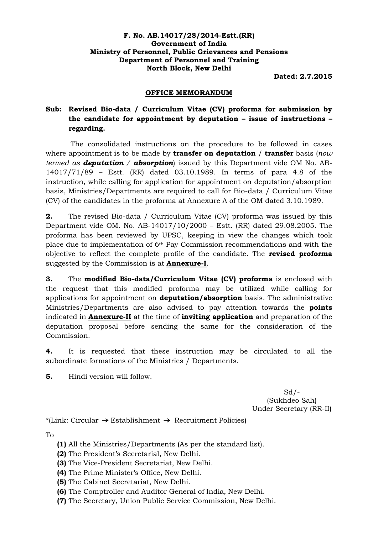#### **F. No. AB.14017/28/2014-Estt.(RR) Government of India Ministry of Personnel, Public Grievances and Pensions Department of Personnel and Training North Block, New Delhi**

**Dated: 2.7.2015**

#### **OFFICE MEMORANDUM**

### **Sub: Revised Bio-data / Curriculum Vitae (CV) proforma for submission by the candidate for appointment by deputation – issue of instructions – regarding.**

The consolidated instructions on the procedure to be followed in cases where appointment is to be made by **transfer on deputation** / **transfer** basis (*now termed as deputation / absorption*) issued by this Department vide OM No. AB-14017/71/89 – Estt. (RR) dated 03.10.1989. In terms of para 4.8 of the instruction, while calling for application for appointment on deputation/absorption basis, Ministries/Departments are required to call for Bio-data / Curriculum Vitae (CV) of the candidates in the proforma at Annexure A of the OM dated 3.10.1989.

**2.** The revised Bio-data / Curriculum Vitae (CV) proforma was issued by this Department vide OM. No. AB-14017/10/2000 – Estt. (RR) dated 29.08.2005. The proforma has been reviewed by UPSC, keeping in view the changes which took place due to implementation of  $6<sup>th</sup>$  Pay Commission recommendations and with the objective to reflect the complete profile of the candidate. The **revised proforma** suggested by the Commission is at **Annexure-I**.

**3.** The **modified Bio-data/Curriculum Vitae (CV) proforma** is enclosed with the request that this modified proforma may be utilized while calling for applications for appointment on **deputation/absorption** basis. The administrative Ministries/Departments are also advised to pay attention towards the **points** indicated in **Annexure-II** at the time of **inviting application** and preparation of the deputation proposal before sending the same for the consideration of the Commission.

**4.** It is requested that these instruction may be circulated to all the subordinate formations of the Ministries / Departments.

**5.** Hindi version will follow.

 $Sd$  /-(Sukhdeo Sah) Under Secretary (RR-II)

\*(Link: Circular  $\rightarrow$  Establishment  $\rightarrow$  Recruitment Policies)

To

- **(1)** All the Ministries/Departments (As per the standard list).
- **(2)** The President's Secretarial, New Delhi.
- **(3)** The Vice-President Secretariat, New Delhi.
- **(4)** The Prime Minister's Office, New Delhi.
- **(5)** The Cabinet Secretariat, New Delhi.
- **(6)** The Comptroller and Auditor General of India, New Delhi.
- **(7)** The Secretary, Union Public Service Commission, New Delhi.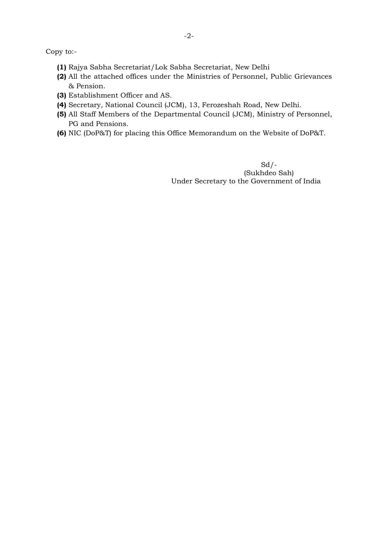Copy to:-

- **(1)** Rajya Sabha Secretariat/Lok Sabha Secretariat, New Delhi
- **(2)** All the attached offices under the Ministries of Personnel, Public Grievances & Pension.
- **(3)** Establishment Officer and AS.
- **(4)** Secretary, National Council (JCM), 13, Ferozeshah Road, New Delhi.
- **(5)** All Staff Members of the Departmental Council (JCM), Ministry of Personnel, PG and Pensions.
- **(6)** NIC (DoP&T) for placing this Office Memorandum on the Website of DoP&T.

 $Sd$  /-(Sukhdeo Sah) Under Secretary to the Government of India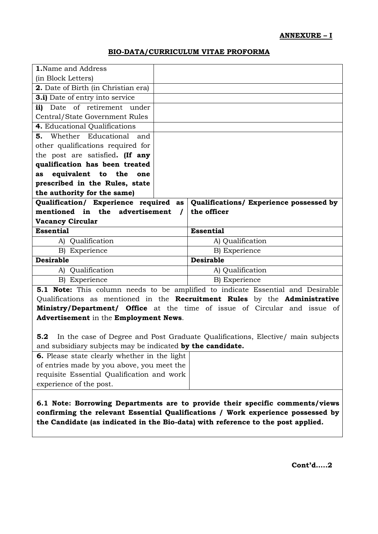#### **BIO-DATA/CURRICULUM VITAE PROFORMA**

| <b>1.</b> Name and Address                 |                                         |
|--------------------------------------------|-----------------------------------------|
| (in Block Letters)                         |                                         |
| <b>2.</b> Date of Birth (in Christian era) |                                         |
| <b>3.i)</b> Date of entry into service     |                                         |
| Date of retirement under<br>ii)            |                                         |
| Central/State Government Rules             |                                         |
| 4. Educational Qualifications              |                                         |
| 5. Whether Educational and                 |                                         |
| other qualifications required for          |                                         |
| the post are satisfied. (If any            |                                         |
| qualification has been treated             |                                         |
| equivalent to the one<br>as                |                                         |
| prescribed in the Rules, state             |                                         |
| the authority for the same)                |                                         |
| Qualification/ Experience required as      | Qualifications/ Experience possessed by |
| mentioned in the advertisement             | the officer                             |
| <b>Vacancy Circular</b>                    |                                         |
| <b>Essential</b>                           | <b>Essential</b>                        |
| A) Qualification                           | A) Qualification                        |
|                                            |                                         |
| B) Experience                              | B) Experience                           |
| <b>Desirable</b>                           | <b>Desirable</b>                        |
| Qualification<br>$A$ )                     | A) Qualification                        |
| B) Experience                              | B) Experience                           |

Qualifications as mentioned in the **Recruitment Rules** by the **Administrative Ministry/Department/ Office** at the time of issue of Circular and issue of **Advertisement** in the **Employment News**.

**5.2** In the case of Degree and Post Graduate Qualifications, Elective/ main subjects and subsidiary subjects may be indicated **by the candidate.**

| <b>6.</b> Please state clearly whether in the light |
|-----------------------------------------------------|
| of entries made by you above, you meet the          |
| requisite Essential Qualification and work          |
| experience of the post.                             |

**6.1 Note: Borrowing Departments are to provide their specific comments/views confirming the relevant Essential Qualifications / Work experience possessed by the Candidate (as indicated in the Bio-data) with reference to the post applied.**

**Cont'd…..2**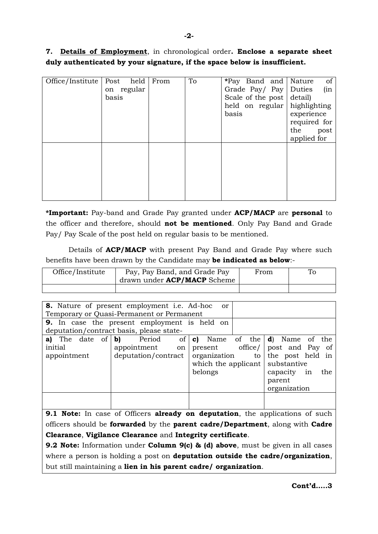**7. Details of Employment**, in chronological order**. Enclose a separate sheet duly authenticated by your signature, if the space below is insufficient.**

| Office/Institute | Post held  | From | To | *Pay Band and                  | of<br>Nature |
|------------------|------------|------|----|--------------------------------|--------------|
|                  | on regular |      |    | Grade Pay/ Pay   Duties        | (in          |
|                  | basis      |      |    | Scale of the post detail)      |              |
|                  |            |      |    | held on regular   highlighting |              |
|                  |            |      |    | basis                          | experience   |
|                  |            |      |    |                                | required for |
|                  |            |      |    |                                | the<br>post  |
|                  |            |      |    |                                | applied for  |
|                  |            |      |    |                                |              |
|                  |            |      |    |                                |              |
|                  |            |      |    |                                |              |
|                  |            |      |    |                                |              |
|                  |            |      |    |                                |              |
|                  |            |      |    |                                |              |
|                  |            |      |    |                                |              |

**\*Important:** Pay-band and Grade Pay granted under **ACP/MACP** are **personal** to the officer and therefore, should **not be mentioned**. Only Pay Band and Grade Pay/ Pay Scale of the post held on regular basis to be mentioned.

Details of **ACP/MACP** with present Pay Band and Grade Pay where such benefits have been drawn by the Candidate may **be indicated as below**:-

| Office/Institute | Pay, Pay Band, and Grade Pay<br>drawn under ACP/MACP Scheme | From | To |
|------------------|-------------------------------------------------------------|------|----|
|                  |                                                             |      |    |

| <b>8.</b> Nature of present employment i.e. Ad-hoc                                             |  |                     |                                  | <sub>or</sub> |  |        |              |     |
|------------------------------------------------------------------------------------------------|--|---------------------|----------------------------------|---------------|--|--------|--------------|-----|
| Temporary or Quasi-Permanent or Permanent                                                      |  |                     |                                  |               |  |        |              |     |
| <b>9.</b> In case the present employment is held on                                            |  |                     |                                  |               |  |        |              |     |
| deputation/contract basis, please state-                                                       |  |                     |                                  |               |  |        |              |     |
| <b>a)</b> The date of $\mathbf{b}$ Period of $\mathbf{c}$ Name of the $\mathbf{d}$ Name of the |  |                     |                                  |               |  |        |              |     |
| initial                                                                                        |  | $appointment$ on    | present office/ post and Pay of  |               |  |        |              |     |
| appointment                                                                                    |  | deputation/contract | organization to the post held in |               |  |        |              |     |
|                                                                                                |  |                     | which the applicant substantive  |               |  |        |              |     |
|                                                                                                |  |                     | belongs                          |               |  |        | capacity in  | the |
|                                                                                                |  |                     |                                  |               |  | parent |              |     |
|                                                                                                |  |                     |                                  |               |  |        | organization |     |
|                                                                                                |  |                     |                                  |               |  |        |              |     |
|                                                                                                |  |                     |                                  |               |  |        |              |     |

**9.1 Note:** In case of Officers **already on deputation**, the applications of such officers should be **forwarded** by the **parent cadre/Department**, along with **Cadre Clearance**, **Vigilance Clearance** and **Integrity certificate**.

**9.2 Note:** Information under **Column 9(c) & (d) above**, must be given in all cases where a person is holding a post on **deputation outside the cadre/organization**, but still maintaining a **lien in his parent cadre/ organization**.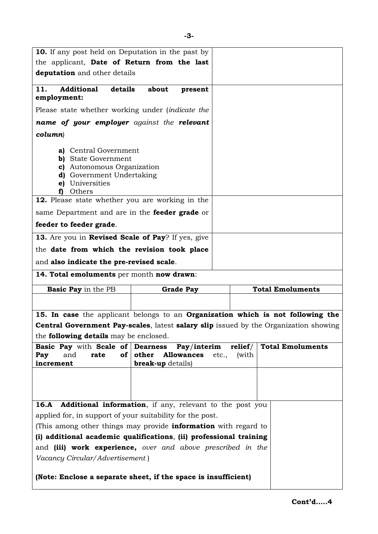| <b>10.</b> If any post held on Deputation in the past by                                                                                                  |                                                                                |                                                                                             |
|-----------------------------------------------------------------------------------------------------------------------------------------------------------|--------------------------------------------------------------------------------|---------------------------------------------------------------------------------------------|
| the applicant, Date of Return from the last                                                                                                               |                                                                                |                                                                                             |
| deputation and other details                                                                                                                              |                                                                                |                                                                                             |
|                                                                                                                                                           |                                                                                |                                                                                             |
| details<br>11.<br><b>Additional</b><br>employment:                                                                                                        | about<br>present                                                               |                                                                                             |
| Please state whether working under (indicate the                                                                                                          |                                                                                |                                                                                             |
| name of your employer against the relevant                                                                                                                |                                                                                |                                                                                             |
| column)                                                                                                                                                   |                                                                                |                                                                                             |
| a) Central Government<br><b>b)</b> State Government<br>c) Autonomous Organization<br><b>d</b> ) Government Undertaking<br>e) Universities<br>Others<br>f) |                                                                                |                                                                                             |
| 12. Please state whether you are working in the                                                                                                           |                                                                                |                                                                                             |
| same Department and are in the <b>feeder grade</b> or                                                                                                     |                                                                                |                                                                                             |
| feeder to feeder grade.                                                                                                                                   |                                                                                |                                                                                             |
| 13. Are you in Revised Scale of Pay? If yes, give                                                                                                         |                                                                                |                                                                                             |
| the date from which the revision took place                                                                                                               |                                                                                |                                                                                             |
| and also indicate the pre-revised scale.                                                                                                                  |                                                                                |                                                                                             |
| 14. Total emoluments per month now drawn:                                                                                                                 |                                                                                |                                                                                             |
| <b>Basic Pay</b> in the PB                                                                                                                                | <b>Grade Pay</b>                                                               | <b>Total Emoluments</b>                                                                     |
|                                                                                                                                                           |                                                                                |                                                                                             |
|                                                                                                                                                           |                                                                                | 15. In case the applicant belongs to an Organization which is not following the             |
|                                                                                                                                                           |                                                                                | <b>Central Government Pay-scales, latest salary slip</b> issued by the Organization showing |
| the <b>following details</b> may be enclosed.                                                                                                             |                                                                                |                                                                                             |
| <b>Basic Pay with Scale of Dearness</b><br>and<br>rate<br>Pay<br>οf<br>increment                                                                          | Pay/interim<br>other<br><b>Allowances</b><br>etc.,<br><b>break-up</b> details) | <b>Total Emoluments</b><br>relief/<br>(with                                                 |
|                                                                                                                                                           |                                                                                |                                                                                             |
| 16.A                                                                                                                                                      | <b>Additional information</b> , if any, relevant to the post you               |                                                                                             |
|                                                                                                                                                           |                                                                                |                                                                                             |
|                                                                                                                                                           | applied for, in support of your suitability for the post.                      |                                                                                             |
| (This among other things may provide <b>information</b> with regard to                                                                                    |                                                                                |                                                                                             |
| (i) additional academic qualifications, (ii) professional training                                                                                        |                                                                                |                                                                                             |
| and (iii) work experience, over and above prescribed in the<br>Vacancy Circular/Advertisement)                                                            |                                                                                |                                                                                             |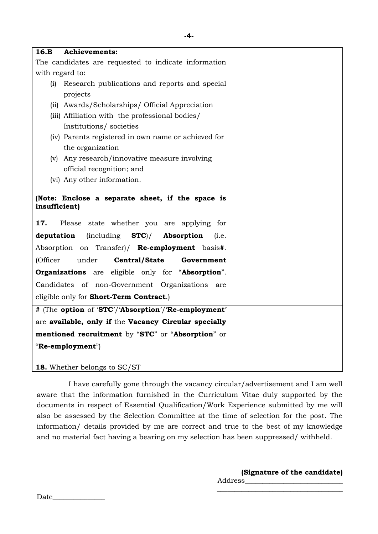| 16.B<br><b>Achievements:</b> |                                                          |  |
|------------------------------|----------------------------------------------------------|--|
|                              | The candidates are requested to indicate information     |  |
| with regard to:              |                                                          |  |
| (i)                          | Research publications and reports and special            |  |
| projects                     |                                                          |  |
|                              | (ii) Awards/Scholarships/ Official Appreciation          |  |
|                              | (iii) Affiliation with the professional bodies/          |  |
|                              | Institutions/societies                                   |  |
|                              | (iv) Parents registered in own name or achieved for      |  |
| the organization             |                                                          |  |
|                              | (v) Any research/innovative measure involving            |  |
|                              | official recognition; and                                |  |
| (vi) Any other information.  |                                                          |  |
| insufficient)                | (Note: Enclose a separate sheet, if the space is         |  |
| 17.                          | Please state whether you are applying for                |  |
| deputation                   | $(including \t STC)$<br>Absorption<br>(i.e.              |  |
|                              | Absorption on Transfer)/ Re-employment basis#.           |  |
| under<br>(Officer            | Central/State<br>Government                              |  |
|                              | <b>Organizations</b> are eligible only for "Absorption". |  |
|                              | Candidates of non-Government Organizations<br>are        |  |
|                              | eligible only for Short-Term Contract.)                  |  |
|                              | # (The option of 'STC'/'Absorption'/'Re-employment'      |  |
|                              | are available, only if the Vacancy Circular specially    |  |
|                              | mentioned recruitment by "STC" or "Absorption" or        |  |
| "Re-employment")             |                                                          |  |
|                              |                                                          |  |
| 18. Whether belongs to SC/ST |                                                          |  |

I have carefully gone through the vacancy circular/advertisement and I am well aware that the information furnished in the Curriculum Vitae duly supported by the documents in respect of Essential Qualification/Work Experience submitted by me will also be assessed by the Selection Committee at the time of selection for the post. The information/ details provided by me are correct and true to the best of my knowledge and no material fact having a bearing on my selection has been suppressed/ withheld.

> **(Signature of the candidate)** Address\_\_\_\_\_\_\_\_\_\_\_\_\_\_\_\_\_\_\_\_\_\_\_\_\_\_\_\_ \_\_\_\_\_\_\_\_\_\_\_\_\_\_\_\_\_\_\_\_\_\_\_\_\_\_\_\_\_\_\_\_\_\_\_\_

Date  $\Box$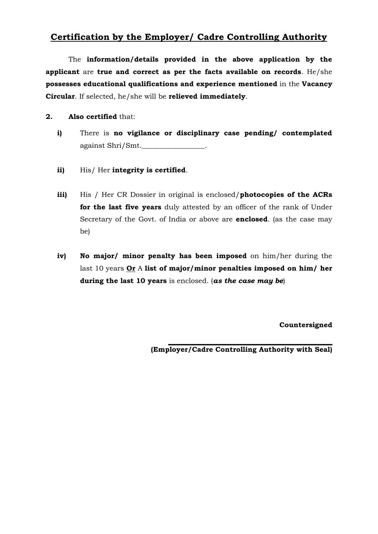## **Certification by the Employer/ Cadre Controlling Authority**

The **information/details provided in the above application by the applicant** are **true and correct as per the facts available on records**. He/she **possesses educational qualifications and experience mentioned** in the **Vacancy Circular**. If selected, he/she will be **relieved immediately**.

**2. Also certified** that:

- **i)** There is **no vigilance or disciplinary case pending/ contemplated** against Shri/Smt.\_\_\_\_\_\_\_\_\_\_\_\_\_\_\_\_\_\_.
- **ii)** His/ Her **integrity is certified**.
- **iii)** His / Her CR Dossier in original is enclosed/**photocopies of the ACRs for the last five years** duly attested by an officer of the rank of Under Secretary of the Govt. of India or above are **enclosed**. (as the case may be)
- **iv) No major/ minor penalty has been imposed** on him/her during the last 10 years **Or** A **list of major/minor penalties imposed on him/ her during the last 10 years** is enclosed. (*as the case may be*)

**Countersigned**

**\_\_\_\_\_\_\_\_\_\_\_\_\_\_\_\_\_\_\_\_\_\_\_\_\_\_\_\_\_\_\_\_\_\_\_\_\_\_\_\_\_\_\_\_\_\_\_ (Employer/Cadre Controlling Authority with Seal)**